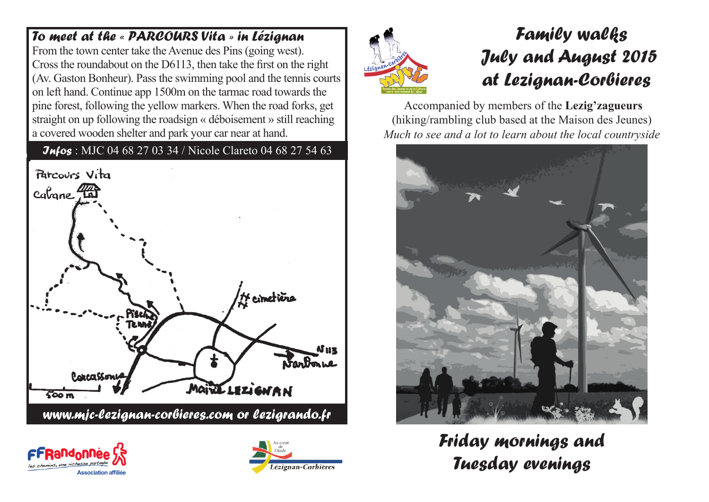# *To meet at the « PARCOURS Vita » in Lézignan*

From the town center take the Avenue des Pins (going west). Cross the roundabout on the D6113, then take the first on the right (Av. Gaston Bonheur). Pass the swimming pool and the tennis courts on left hand. Continue app 1500m on the tarmac road towards the pine forest, following the yellow markers. When the road forks, get straight on up following the roadsign « déboisement » still reaching a covered wooden shelter and park your car near at hand.

# *Infos* : MJC 04 68 27 03 34 / Nicole Clareto 04 68 27 54 63









# *Family walks July and August 2015 at Lezignan-Corbieres*

Accompanied by members of the **Lezig'zagueurs**  (hiking/rambling club based at the Maison des Jeunes) *Much to see and a lot to learn about the local countryside*



*Friday mornings and Tuesday evenings*